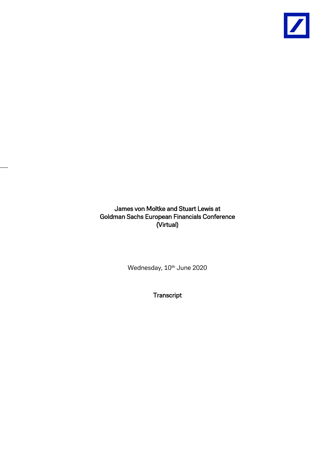

James von Moltke and Stuart Lewis at Goldman Sachs European Financials Conference (Virtual)

Wednesday, 10<sup>th</sup> June 2020

**Transcript**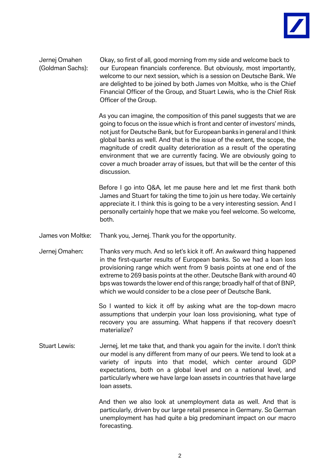

Jernej Omahen Okay, so first of all, good morning from my side and welcome back to (Goldman Sachs): our European financials conference. But obviously, most importantly, welcome to our next session, which is a session on Deutsche Bank. We are delighted to be joined by both James von Moltke, who is the Chief Financial Officer of the Group, and Stuart Lewis, who is the Chief Risk Officer of the Group.

> As you can imagine, the composition of this panel suggests that we are going to focus on the issue which is front and center of investors' minds, not just for Deutsche Bank, but for European banks in general and I think global banks as well. And that is the issue of the extent, the scope, the magnitude of credit quality deterioration as a result of the operating environment that we are currently facing. We are obviously going to cover a much broader array of issues, but that will be the center of this discussion.

> Before I go into Q&A, let me pause here and let me first thank both James and Stuart for taking the time to join us here today. We certainly appreciate it. I think this is going to be a very interesting session. And I personally certainly hope that we make you feel welcome. So welcome, both.

- James von Moltke: Thank you, Jernej. Thank you for the opportunity.
- Jernej Omahen: Thanks very much. And so let's kick it off. An awkward thing happened in the first-quarter results of European banks. So we had a loan loss provisioning range which went from 9 basis points at one end of the extreme to 269 basis points at the other. Deutsche Bank with around 40 bps was towards the lower end of this range; broadly half of that of BNP, which we would consider to be a close peer of Deutsche Bank.

So I wanted to kick it off by asking what are the top-down macro assumptions that underpin your loan loss provisioning, what type of recovery you are assuming. What happens if that recovery doesn't materialize?

Stuart Lewis: Jernej, let me take that, and thank you again for the invite. I don't think our model is any different from many of our peers. We tend to look at a variety of inputs into that model, which center around GDP expectations, both on a global level and on a national level, and particularly where we have large loan assets in countries that have large loan assets.

> And then we also look at unemployment data as well. And that is particularly, driven by our large retail presence in Germany. So German unemployment has had quite a big predominant impact on our macro forecasting.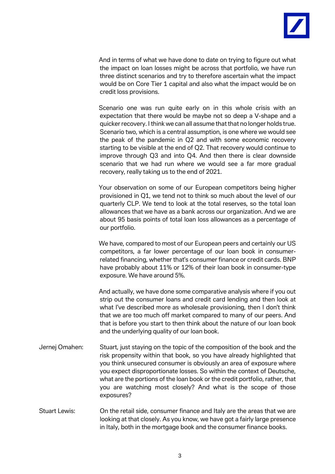

And in terms of what we have done to date on trying to figure out what the impact on loan losses might be across that portfolio, we have run three distinct scenarios and try to therefore ascertain what the impact would be on Core Tier 1 capital and also what the impact would be on credit loss provisions.

Scenario one was run quite early on in this whole crisis with an expectation that there would be maybe not so deep a V-shape and a quicker recovery. I think we can all assume that that no longer holds true. Scenario two, which is a central assumption, is one where we would see the peak of the pandemic in Q2 and with some economic recovery starting to be visible at the end of Q2. That recovery would continue to improve through Q3 and into Q4. And then there is clear downside scenario that we had run where we would see a far more gradual recovery, really taking us to the end of 2021.

Your observation on some of our European competitors being higher provisioned in Q1, we tend not to think so much about the level of our quarterly CLP. We tend to look at the total reserves, so the total loan allowances that we have as a bank across our organization. And we are about 95 basis points of total loan loss allowances as a percentage of our portfolio.

We have, compared to most of our European peers and certainly our US competitors, a far lower percentage of our loan book in consumerrelated financing, whether that's consumer finance or credit cards. BNP have probably about 11% or 12% of their loan book in consumer-type exposure. We have around 5%.

And actually, we have done some comparative analysis where if you out strip out the consumer loans and credit card lending and then look at what I've described more as wholesale provisioning, then I don't think that we are too much off market compared to many of our peers. And that is before you start to then think about the nature of our loan book and the underlying quality of our loan book.

- Jernej Omahen: Stuart, just staying on the topic of the composition of the book and the risk propensity within that book, so you have already highlighted that you think unsecured consumer is obviously an area of exposure where you expect disproportionate losses. So within the context of Deutsche, what are the portions of the loan book or the credit portfolio, rather, that you are watching most closely? And what is the scope of those exposures?
- Stuart Lewis: On the retail side, consumer finance and Italy are the areas that we are looking at that closely. As you know, we have got a fairly large presence in Italy, both in the mortgage book and the consumer finance books.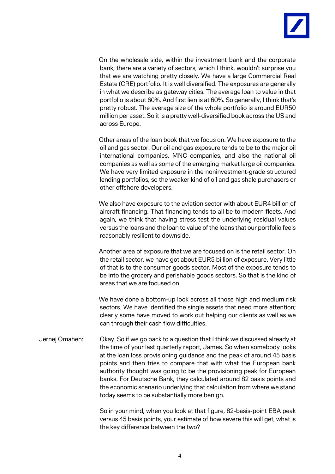

On the wholesale side, within the investment bank and the corporate bank, there are a variety of sectors, which I think, wouldn't surprise you that we are watching pretty closely. We have a large Commercial Real Estate (CRE) portfolio. It is well diversified. The exposures are generally in what we describe as gateway cities. The average loan to value in that portfolio is about 60%. And first lien is at 60%. So generally, I think that's pretty robust. The average size of the whole portfolio is around EUR50 million per asset. So it is a pretty well-diversified book across the US and across Europe.

Other areas of the loan book that we focus on. We have exposure to the oil and gas sector. Our oil and gas exposure tends to be to the major oil international companies, MNC companies, and also the national oil companies as well as some of the emerging market large oil companies. We have very limited exposure in the noninvestment-grade structured lending portfolios, so the weaker kind of oil and gas shale purchasers or other offshore developers.

We also have exposure to the aviation sector with about EUR4 billion of aircraft financing. That financing tends to all be to modern fleets. And again, we think that having stress test the underlying residual values versus the loans and the loan to value of the loans that our portfolio feels reasonably resilient to downside.

Another area of exposure that we are focused on is the retail sector. On the retail sector, we have got about EUR5 billion of exposure. Very little of that is to the consumer goods sector. Most of the exposure tends to be into the grocery and perishable goods sectors. So that is the kind of areas that we are focused on.

We have done a bottom-up look across all those high and medium risk sectors. We have identified the single assets that need more attention; clearly some have moved to work out helping our clients as well as we can through their cash flow difficulties.

Jernej Omahen: Okay. So if we go back to a question that I think we discussed already at the time of your last quarterly report, James. So when somebody looks at the loan loss provisioning guidance and the peak of around 45 basis points and then tries to compare that with what the European bank authority thought was going to be the provisioning peak for European banks. For Deutsche Bank, they calculated around 82 basis points and the economic scenario underlying that calculation from where we stand today seems to be substantially more benign.

> So in your mind, when you look at that figure, 82-basis-point EBA peak versus 45 basis points, your estimate of how severe this will get, what is the key difference between the two?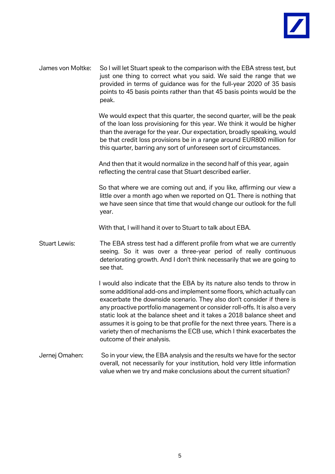

James von Moltke: So I will let Stuart speak to the comparison with the EBA stress test, but just one thing to correct what you said. We said the range that we provided in terms of guidance was for the full-year 2020 of 35 basis points to 45 basis points rather than that 45 basis points would be the peak.

> We would expect that this quarter, the second quarter, will be the peak of the loan loss provisioning for this year. We think it would be higher than the average for the year. Our expectation, broadly speaking, would be that credit loss provisions be in a range around EUR800 million for this quarter, barring any sort of unforeseen sort of circumstances.

And then that it would normalize in the second half of this year, again reflecting the central case that Stuart described earlier.

So that where we are coming out and, if you like, affirming our view a little over a month ago when we reported on Q1. There is nothing that we have seen since that time that would change our outlook for the full year.

With that, I will hand it over to Stuart to talk about EBA.

Stuart Lewis: The EBA stress test had a different profile from what we are currently seeing. So it was over a three-year period of really continuous deteriorating growth. And I don't think necessarily that we are going to see that.

> I would also indicate that the EBA by its nature also tends to throw in some additional add-ons and implement some floors, which actually can exacerbate the downside scenario. They also don't consider if there is any proactive portfolio management or consider roll-offs. It is also a very static look at the balance sheet and it takes a 2018 balance sheet and assumes it is going to be that profile for the next three years. There is a variety then of mechanisms the ECB use, which I think exacerbates the outcome of their analysis.

Jernej Omahen: So in your view, the EBA analysis and the results we have for the sector overall, not necessarily for your institution, hold very little information value when we try and make conclusions about the current situation?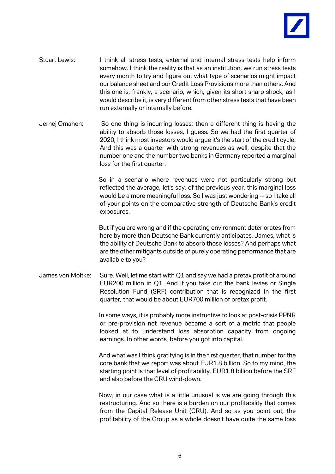

- Stuart Lewis: I think all stress tests, external and internal stress tests help inform somehow. I think the reality is that as an institution, we run stress tests every month to try and figure out what type of scenarios might impact our balance sheet and our Credit Loss Provisions more than others. And this one is, frankly, a scenario, which, given its short sharp shock, as I would describe it, is very different from other stress tests that have been run externally or internally before.
- Jernej Omahen; So one thing is incurring losses; then a different thing is having the ability to absorb those losses, I guess. So we had the first quarter of 2020; I think most investors would argue it's the start of the credit cycle. And this was a quarter with strong revenues as well, despite that the number one and the number two banks in Germany reported a marginal loss for the first quarter.

So in a scenario where revenues were not particularly strong but reflected the average, let's say, of the previous year, this marginal loss would be a more meaningful loss. So I was just wondering -- so I take all of your points on the comparative strength of Deutsche Bank's credit exposures.

But if you are wrong and if the operating environment deteriorates from here by more than Deutsche Bank currently anticipates, James, what is the ability of Deutsche Bank to absorb those losses? And perhaps what are the other mitigants outside of purely operating performance that are available to you?

James von Moltke: Sure. Well, let me start with Q1 and say we had a pretax profit of around EUR200 million in Q1. And if you take out the bank levies or Single Resolution Fund (SRF) contribution that is recognized in the first quarter, that would be about EUR700 million of pretax profit.

> In some ways, it is probably more instructive to look at post-crisis PPNR or pre-provision net revenue became a sort of a metric that people looked at to understand loss absorption capacity from ongoing earnings. In other words, before you got into capital.

> And what was I think gratifying is in the first quarter, that number for the core bank that we report was about EUR1.8 billion. So to my mind, the starting point is that level of profitability, EUR1.8 billion before the SRF and also before the CRU wind-down.

> Now, in our case what is a little unusual is we are going through this restructuring. And so there is a burden on our profitability that comes from the Capital Release Unit (CRU). And so as you point out, the profitability of the Group as a whole doesn't have quite the same loss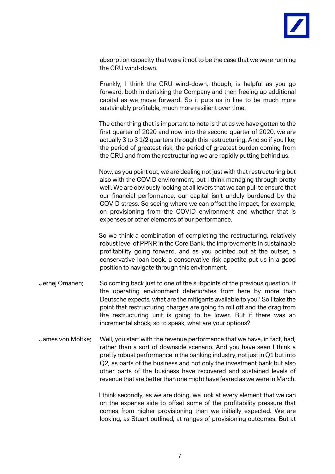

absorption capacity that were it not to be the case that we were running the CRU wind-down.

Frankly, I think the CRU wind-down, though, is helpful as you go forward, both in derisking the Company and then freeing up additional capital as we move forward. So it puts us in line to be much more sustainably profitable, much more resilient over time.

The other thing that is important to note is that as we have gotten to the first quarter of 2020 and now into the second quarter of 2020, we are actually 3 to 3 1/2 quarters through this restructuring. And so if you like, the period of greatest risk, the period of greatest burden coming from the CRU and from the restructuring we are rapidly putting behind us.

Now, as you point out, we are dealing not just with that restructuring but also with the COVID environment, but I think managing through pretty well. We are obviously looking at all levers that we can pull to ensure that our financial performance, our capital isn't unduly burdened by the COVID stress. So seeing where we can offset the impact, for example, on provisioning from the COVID environment and whether that is expenses or other elements of our performance.

So we think a combination of completing the restructuring, relatively robust level of PPNR in the Core Bank, the improvements in sustainable profitability going forward, and as you pointed out at the outset, a conservative loan book, a conservative risk appetite put us in a good position to navigate through this environment.

- Jernej Omahen: So coming back just to one of the subpoints of the previous question. If the operating environment deteriorates from here by more than Deutsche expects, what are the mitigants available to you? So I take the point that restructuring charges are going to roll off and the drag from the restructuring unit is going to be lower. But if there was an incremental shock, so to speak, what are your options?
- James von Moltke: Well, you start with the revenue performance that we have, in fact, had, rather than a sort of downside scenario. And you have seen I think a pretty robust performance in the banking industry, not just in Q1 but into Q2, as parts of the business and not only the investment bank but also other parts of the business have recovered and sustained levels of revenue that are better than one might have feared as we were in March.

I think secondly, as we are doing, we look at every element that we can on the expense side to offset some of the profitability pressure that comes from higher provisioning than we initially expected. We are looking, as Stuart outlined, at ranges of provisioning outcomes. But at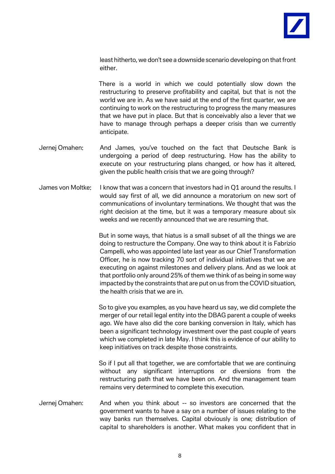

least hitherto, we don't see a downside scenario developing on that front either.

There is a world in which we could potentially slow down the restructuring to preserve profitability and capital, but that is not the world we are in. As we have said at the end of the first quarter, we are continuing to work on the restructuring to progress the many measures that we have put in place. But that is conceivably also a lever that we have to manage through perhaps a deeper crisis than we currently anticipate.

- Jernej Omahen: And James, you've touched on the fact that Deutsche Bank is undergoing a period of deep restructuring. How has the ability to execute on your restructuring plans changed, or how has it altered, given the public health crisis that we are going through?
- James von Moltke: I know that was a concern that investors had in Q1 around the results. I would say first of all, we did announce a moratorium on new sort of communications of involuntary terminations. We thought that was the right decision at the time, but it was a temporary measure about six weeks and we recently announced that we are resuming that.

But in some ways, that hiatus is a small subset of all the things we are doing to restructure the Company. One way to think about it is Fabrizio Campelli, who was appointed late last year as our Chief Transformation Officer, he is now tracking 70 sort of individual initiatives that we are executing on against milestones and delivery plans. And as we look at that portfolio only around 25% of them we think of as being in some way impacted by the constraints that are put on us from the COVID situation, the health crisis that we are in.

So to give you examples, as you have heard us say, we did complete the merger of our retail legal entity into the DBAG parent a couple of weeks ago. We have also did the core banking conversion in Italy, which has been a significant technology investment over the past couple of years which we completed in late May. I think this is evidence of our ability to keep initiatives on track despite those constraints.

So if I put all that together, we are comfortable that we are continuing without any significant interruptions or diversions from the restructuring path that we have been on. And the management team remains very determined to complete this execution.

Jernej Omahen: And when you think about -- so investors are concerned that the government wants to have a say on a number of issues relating to the way banks run themselves. Capital obviously is one; distribution of capital to shareholders is another. What makes you confident that in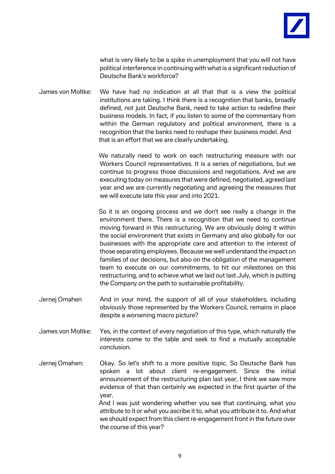

what is very likely to be a spike in unemployment that you will not have political interference in continuing with what is a significant reduction of Deutsche Bank's workforce?

James von Moltke: We have had no indication at all that that is a view the political institutions are taking. I think there is a recognition that banks, broadly defined, not just Deutsche Bank, need to take action to redefine their business models. In fact, if you listen to some of the commentary from within the German regulatory and political environment, there is a recognition that the banks need to reshape their business model. And that is an effort that we are clearly undertaking.

> We naturally need to work on each restructuring measure with our Workers Council representatives. It is a series of negotiations, but we continue to progress those discussions and negotiations. And we are executing today on measures that were defined, negotiated, agreed last year and we are currently negotiating and agreeing the measures that we will execute late this year and into 2021.

> So it is an ongoing process and we don't see really a change in the environment there. There is a recognition that we need to continue moving forward in this restructuring. We are obviously doing it within the social environment that exists in Germany and also globally for our businesses with the appropriate care and attention to the interest of those separating employees. Because we well understand the impact on families of our decisions, but also on the obligation of the management team to execute on our commitments, to hit our milestones on this restructuring, and to achieve what we laid out last July, which is putting the Company on the path to sustainable profitability.

- Jernej Omahen And in your mind, the support of all of your stakeholders, including obviously those represented by the Workers Council, remains in place despite a worsening macro picture?
- James von Moltke: Yes, in the context of every negotiation of this type, which naturally the interests come to the table and seek to find a mutually acceptable conclusion.
- Jernej Omahen: Okay. So let's shift to a more positive topic. So Deutsche Bank has spoken a lot about client re-engagement. Since the initial announcement of the restructuring plan last year, I think we saw more evidence of that than certainly we expected in the first quarter of the year. And I was just wondering whether you see that continuing, what you attribute to it or what you ascribe it to, what you attribute it to. And what we should expect from this client re-engagement front in the future over the course of this year?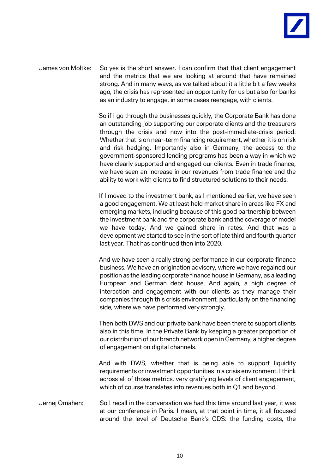

James von Moltke: So yes is the short answer. I can confirm that that client engagement and the metrics that we are looking at around that have remained strong. And in many ways, as we talked about it a little bit a few weeks ago, the crisis has represented an opportunity for us but also for banks as an industry to engage, in some cases reengage, with clients.

> So if I go through the businesses quickly, the Corporate Bank has done an outstanding job supporting our corporate clients and the treasurers through the crisis and now into the post-immediate-crisis period. Whether that is on near-term financing requirement, whether it is on risk and risk hedging. Importantly also in Germany, the access to the government-sponsored lending programs has been a way in which we have clearly supported and engaged our clients. Even in trade finance, we have seen an increase in our revenues from trade finance and the ability to work with clients to find structured solutions to their needs.

> If I moved to the investment bank, as I mentioned earlier, we have seen a good engagement. We at least held market share in areas like FX and emerging markets, including because of this good partnership between the investment bank and the corporate bank and the coverage of model we have today. And we gained share in rates. And that was a development we started to see in the sort of late third and fourth quarter last year. That has continued then into 2020.

> And we have seen a really strong performance in our corporate finance business. We have an origination advisory, where we have regained our position as the leading corporate finance house in Germany, as a leading European and German debt house. And again, a high degree of interaction and engagement with our clients as they manage their companies through this crisis environment, particularly on the financing side, where we have performed very strongly.

> Then both DWS and our private bank have been there to support clients also in this time. In the Private Bank by keeping a greater proportion of our distribution of our branch network open in Germany, a higher degree of engagement on digital channels.

> And with DWS, whether that is being able to support liquidity requirements or investment opportunities in a crisis environment. I think across all of those metrics, very gratifying levels of client engagement, which of course translates into revenues both in Q1 and beyond.

Jernej Omahen: So I recall in the conversation we had this time around last year, it was at our conference in Paris. I mean, at that point in time, it all focused around the level of Deutsche Bank's CDS: the funding costs, the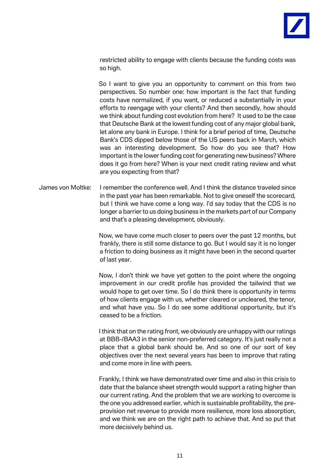

restricted ability to engage with clients because the funding costs was so high.

So I want to give you an opportunity to comment on this from two perspectives. So number one: how important is the fact that funding costs have normalized, if you want, or reduced a substantially in your efforts to reengage with your clients? And then secondly, how should we think about funding cost evolution from here? It used to be the case that Deutsche Bank at the lowest funding cost of any major global bank, let alone any bank in Europe. I think for a brief period of time, Deutsche Bank's CDS dipped below those of the US peers back in March, which was an interesting development. So how do you see that? How important is the lower funding cost for generating new business? Where does it go from here? When is your next credit rating review and what are you expecting from that?

James von Moltke: I remember the conference well. And I think the distance traveled since in the past year has been remarkable. Not to give oneself the scorecard, but I think we have come a long way. I'd say today that the CDS is no longer a barrier to us doing business in the markets part of our Company and that's a pleasing development, obviously.

> Now, we have come much closer to peers over the past 12 months, but frankly, there is still some distance to go. But I would say it is no longer a friction to doing business as it might have been in the second quarter of last year.

> Now, I don't think we have yet gotten to the point where the ongoing improvement in our credit profile has provided the tailwind that we would hope to get over time. So I do think there is opportunity in terms of how clients engage with us, whether cleared or uncleared, the tenor, and what have you. So I do see some additional opportunity, but it's ceased to be a friction.

> I think that on the rating front, we obviously are unhappy with our ratings at BBB-/BAA3 in the senior non-preferred category. It's just really not a place that a global bank should be. And so one of our sort of key objectives over the next several years has been to improve that rating and come more in line with peers.

> Frankly, I think we have demonstrated over time and also in this crisis to date that the balance sheet strength would support a rating higher than our current rating. And the problem that we are working to overcome is the one you addressed earlier, which is sustainable profitability, the preprovision net revenue to provide more resilience, more loss absorption, and we think we are on the right path to achieve that. And so put that more decisively behind us.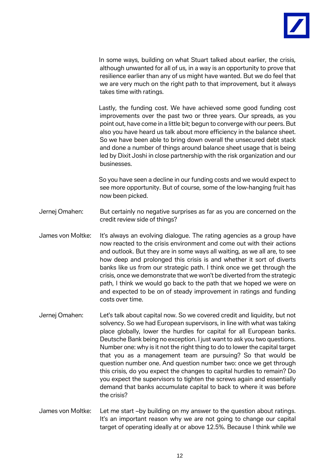

In some ways, building on what Stuart talked about earlier, the crisis, although unwanted for all of us, in a way is an opportunity to prove that resilience earlier than any of us might have wanted. But we do feel that we are very much on the right path to that improvement, but it always takes time with ratings.

Lastly, the funding cost. We have achieved some good funding cost improvements over the past two or three years. Our spreads, as you point out, have come in a little bit; begun to converge with our peers. But also you have heard us talk about more efficiency in the balance sheet. So we have been able to bring down overall the unsecured debt stack and done a number of things around balance sheet usage that is being led by Dixit Joshi in close partnership with the risk organization and our businesses.

So you have seen a decline in our funding costs and we would expect to see more opportunity. But of course, some of the low-hanging fruit has now been picked.

- Jernej Omahen: But certainly no negative surprises as far as you are concerned on the credit review side of things?
- James von Moltke: It's always an evolving dialogue. The rating agencies as a group have now reacted to the crisis environment and come out with their actions and outlook. But they are in some ways all waiting, as we all are, to see how deep and prolonged this crisis is and whether it sort of diverts banks like us from our strategic path. I think once we get through the crisis, once we demonstrate that we won't be diverted from the strategic path, I think we would go back to the path that we hoped we were on and expected to be on of steady improvement in ratings and funding costs over time.
- Jernej Omahen: Let's talk about capital now. So we covered credit and liquidity, but not solvency. So we had European supervisors, in line with what was taking place globally, lower the hurdles for capital for all European banks. Deutsche Bank being no exception. I just want to ask you two questions. Number one: why is it not the right thing to do to lower the capital target that you as a management team are pursuing? So that would be question number one. And question number two: once we get through this crisis, do you expect the changes to capital hurdles to remain? Do you expect the supervisors to tighten the screws again and essentially demand that banks accumulate capital to back to where it was before the crisis?
- James von Moltke: Let me start –by building on my answer to the question about ratings. It's an important reason why we are not going to change our capital target of operating ideally at or above 12.5%. Because I think while we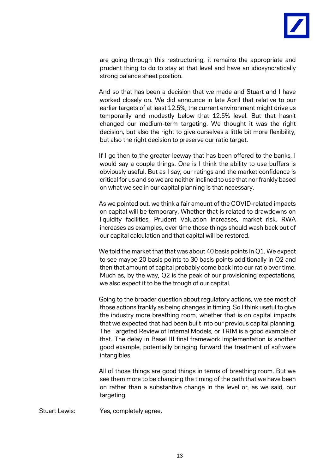

are going through this restructuring, it remains the appropriate and prudent thing to do to stay at that level and have an idiosyncratically strong balance sheet position.

And so that has been a decision that we made and Stuart and I have worked closely on. We did announce in late April that relative to our earlier targets of at least 12.5%, the current environment might drive us temporarily and modestly below that 12.5% level. But that hasn't changed our medium-term targeting. We thought it was the right decision, but also the right to give ourselves a little bit more flexibility, but also the right decision to preserve our ratio target.

If I go then to the greater leeway that has been offered to the banks, I would say a couple things. One is I think the ability to use buffers is obviously useful. But as I say, our ratings and the market confidence is critical for us and so we are neither inclined to use that nor frankly based on what we see in our capital planning is that necessary.

As we pointed out, we think a fair amount of the COVID-related impacts on capital will be temporary. Whether that is related to drawdowns on liquidity facilities, Prudent Valuation increases, market risk, RWA increases as examples, over time those things should wash back out of our capital calculation and that capital will be restored.

We told the market that that was about 40 basis points in Q1. We expect to see maybe 20 basis points to 30 basis points additionally in Q2 and then that amount of capital probably come back into our ratio over time. Much as, by the way, Q2 is the peak of our provisioning expectations, we also expect it to be the trough of our capital.

Going to the broader question about regulatory actions, we see most of those actions frankly as being changes in timing. So I think useful to give the industry more breathing room, whether that is on capital impacts that we expected that had been built into our previous capital planning. The Targeted Review of Internal Models, or TRIM is a good example of that. The delay in Basel III final framework implementation is another good example, potentially bringing forward the treatment of software intangibles.

All of those things are good things in terms of breathing room. But we see them more to be changing the timing of the path that we have been on rather than a substantive change in the level or, as we said, our targeting.

Stuart Lewis: Yes, completely agree.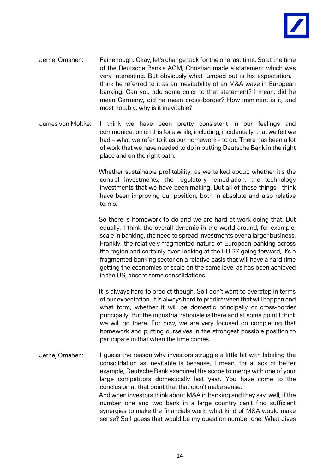

- Jernej Omahen: Fair enough. Okay, let's change tack for the one last time. So at the time of the Deutsche Bank's AGM, Christian made a statement which was very interesting. But obviously what jumped out is his expectation. I think he referred to it as an inevitability of an M&A wave in European banking. Can you add some color to that statement? I mean, did he mean Germany, did he mean cross-border? How imminent is it, and most notably, why is it inevitable?
- James von Moltke: I think we have been pretty consistent in our feelings and communication on this for a while, including, incidentally, that we felt we had – what we refer to it as our homework - to do. There has been a lot of work that we have needed to do in putting Deutsche Bank in the right place and on the right path.

Whether sustainable profitability, as we talked about; whether it's the control investments, the regulatory remediation, the technology investments that we have been making. But all of those things I think have been improving our position, both in absolute and also relative terms.

So there is homework to do and we are hard at work doing that. But equally, I think the overall dynamic in the world around, for example, scale in banking, the need to spread investments over a larger business. Frankly, the relatively fragmented nature of European banking across the region and certainly even looking at the EU 27 going forward, it's a fragmented banking sector on a relative basis that will have a hard time getting the economies of scale on the same level as has been achieved in the US, absent some consolidations.

It is always hard to predict though. So I don't want to overstep in terms of our expectation. It is always hard to predict when that will happen and what form, whether it will be domestic principally or cross-border principally. But the industrial rationale is there and at some point I think we will go there. For now, we are very focused on completing that homework and putting ourselves in the strongest possible position to participate in that when the time comes.

Jernej Omahen: I guess the reason why investors struggle a little bit with labeling the consolidation as inevitable is because, I mean, for a lack of better example, Deutsche Bank examined the scope to merge with one of your large competitors domestically last year. You have come to the conclusion at that point that that didn't make sense. And when investors think about M&A in banking and they say, well, if the number one and two bank in a large country can't find sufficient synergies to make the financials work, what kind of M&A would make sense? So I guess that would be my question number one. What gives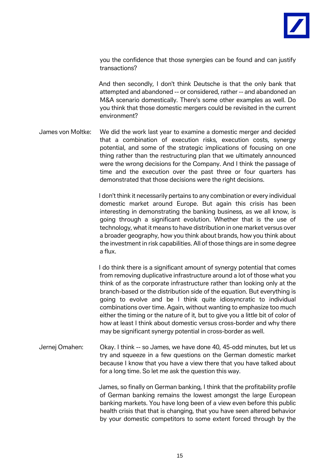

you the confidence that those synergies can be found and can justify transactions?

And then secondly, I don't think Deutsche is that the only bank that attempted and abandoned -- or considered, rather -- and abandoned an M&A scenario domestically. There's some other examples as well. Do you think that those domestic mergers could be revisited in the current environment?

James von Moltke: We did the work last year to examine a domestic merger and decided that a combination of execution risks, execution costs, synergy potential, and some of the strategic implications of focusing on one thing rather than the restructuring plan that we ultimately announced were the wrong decisions for the Company. And I think the passage of time and the execution over the past three or four quarters has demonstrated that those decisions were the right decisions.

> I don't think it necessarily pertains to any combination or every individual domestic market around Europe. But again this crisis has been interesting in demonstrating the banking business, as we all know, is going through a significant evolution. Whether that is the use of technology, what it means to have distribution in one market versus over a broader geography, how you think about brands, how you think about the investment in risk capabilities. All of those things are in some degree a flux.

> I do think there is a significant amount of synergy potential that comes from removing duplicative infrastructure around a lot of those what you think of as the corporate infrastructure rather than looking only at the branch-based or the distribution side of the equation. But everything is going to evolve and be I think quite idiosyncratic to individual combinations over time. Again, without wanting to emphasize too much either the timing or the nature of it, but to give you a little bit of color of how at least I think about domestic versus cross-border and why there may be significant synergy potential in cross-border as well.

Jernej Omahen: Okay. I think -- so James, we have done 40, 45-odd minutes, but let us try and squeeze in a few questions on the German domestic market because I know that you have a view there that you have talked about for a long time. So let me ask the question this way.

> James, so finally on German banking, I think that the profitability profile of German banking remains the lowest amongst the large European banking markets. You have long been of a view even before this public health crisis that that is changing, that you have seen altered behavior by your domestic competitors to some extent forced through by the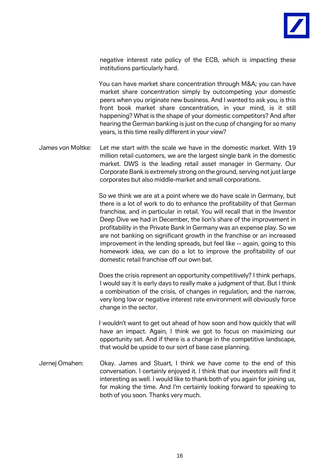

negative interest rate policy of the ECB, which is impacting these institutions particularly hard.

You can have market share concentration through M&A; you can have market share concentration simply by outcompeting your domestic peers when you originate new business. And I wanted to ask you, is this front book market share concentration, in your mind, is it still happening? What is the shape of your domestic competitors? And after hearing the German banking is just on the cusp of changing for so many years, is this time really different in your view?

James von Moltke: Let me start with the scale we have in the domestic market. With 19 million retail customers, we are the largest single bank in the domestic market. DWS is the leading retail asset manager in Germany. Our Corporate Bank is extremely strong on the ground, serving not just large corporates but also middle-market and small corporations.

> So we think we are at a point where we do have scale in Germany, but there is a lot of work to do to enhance the profitability of that German franchise, and in particular in retail. You will recall that in the Investor Deep Dive we had in December, the lion's share of the improvement in profitability in the Private Bank in Germany was an expense play. So we are not banking on significant growth in the franchise or an increased improvement in the lending spreads, but feel like -- again, going to this homework idea, we can do a lot to improve the profitability of our domestic retail franchise off our own bat.

> Does the crisis represent an opportunity competitively? I think perhaps. I would say it is early days to really make a judgment of that. But I think a combination of the crisis, of changes in regulation, and the narrow, very long low or negative interest rate environment will obviously force change in the sector.

> I wouldn't want to get out ahead of how soon and how quickly that will have an impact. Again, I think we got to focus on maximizing our opportunity set. And if there is a change in the competitive landscape, that would be upside to our sort of base case planning.

Jernej Omahen: Okay. James and Stuart, I think we have come to the end of this conversation. I certainly enjoyed it. I think that our investors will find it interesting as well. I would like to thank both of you again for joining us, for making the time. And I'm certainly looking forward to speaking to both of you soon. Thanks very much.